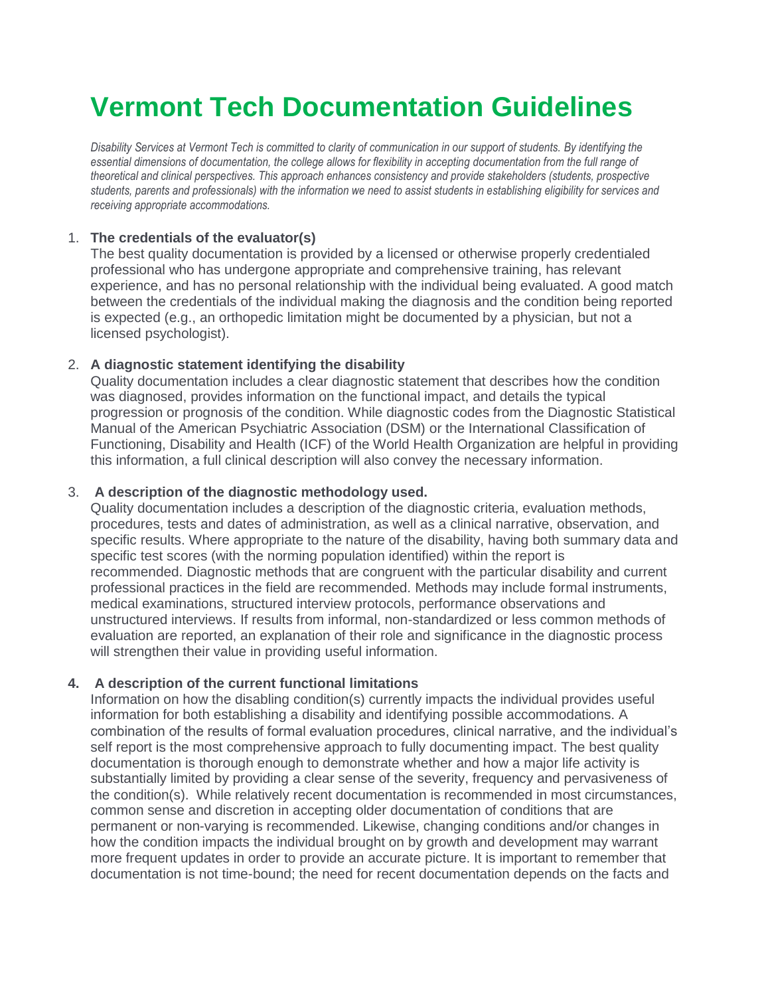# **Vermont Tech Documentation Guidelines**

*Disability Services at Vermont Tech is committed to clarity of communication in our support of students. By identifying the essential dimensions of documentation, the college allows for flexibility in accepting documentation from the full range of theoretical and clinical perspectives. This approach enhances consistency and provide stakeholders (students, prospective students, parents and professionals) with the information we need to assist students in establishing eligibility for services and receiving appropriate accommodations.*

## 1. **The credentials of the evaluator(s)**

The best quality documentation is provided by a licensed or otherwise properly credentialed professional who has undergone appropriate and comprehensive training, has relevant experience, and has no personal relationship with the individual being evaluated. A good match between the credentials of the individual making the diagnosis and the condition being reported is expected (e.g., an orthopedic limitation might be documented by a physician, but not a licensed psychologist).

## 2. **A diagnostic statement identifying the disability**

Quality documentation includes a clear diagnostic statement that describes how the condition was diagnosed, provides information on the functional impact, and details the typical progression or prognosis of the condition. While diagnostic codes from the Diagnostic Statistical Manual of the American Psychiatric Association (DSM) or the International Classification of Functioning, Disability and Health (ICF) of the World Health Organization are helpful in providing this information, a full clinical description will also convey the necessary information.

### 3. **A description of the diagnostic methodology used.**

Quality documentation includes a description of the diagnostic criteria, evaluation methods, procedures, tests and dates of administration, as well as a clinical narrative, observation, and specific results. Where appropriate to the nature of the disability, having both summary data and specific test scores (with the norming population identified) within the report is recommended. Diagnostic methods that are congruent with the particular disability and current professional practices in the field are recommended. Methods may include formal instruments, medical examinations, structured interview protocols, performance observations and unstructured interviews. If results from informal, non-standardized or less common methods of evaluation are reported, an explanation of their role and significance in the diagnostic process will strengthen their value in providing useful information.

#### **4. A description of the current functional limitations**

Information on how the disabling condition(s) currently impacts the individual provides useful information for both establishing a disability and identifying possible accommodations. A combination of the results of formal evaluation procedures, clinical narrative, and the individual's self report is the most comprehensive approach to fully documenting impact. The best quality documentation is thorough enough to demonstrate whether and how a major life activity is substantially limited by providing a clear sense of the severity, frequency and pervasiveness of the condition(s). While relatively recent documentation is recommended in most circumstances, common sense and discretion in accepting older documentation of conditions that are permanent or non-varying is recommended. Likewise, changing conditions and/or changes in how the condition impacts the individual brought on by growth and development may warrant more frequent updates in order to provide an accurate picture. It is important to remember that documentation is not time-bound; the need for recent documentation depends on the facts and